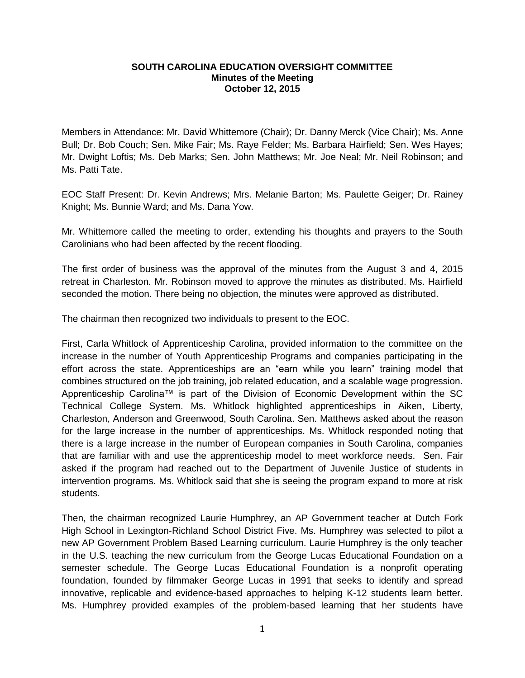## **SOUTH CAROLINA EDUCATION OVERSIGHT COMMITTEE Minutes of the Meeting October 12, 2015**

Members in Attendance: Mr. David Whittemore (Chair); Dr. Danny Merck (Vice Chair); Ms. Anne Bull; Dr. Bob Couch; Sen. Mike Fair; Ms. Raye Felder; Ms. Barbara Hairfield; Sen. Wes Hayes; Mr. Dwight Loftis; Ms. Deb Marks; Sen. John Matthews; Mr. Joe Neal; Mr. Neil Robinson; and Ms. Patti Tate.

EOC Staff Present: Dr. Kevin Andrews; Mrs. Melanie Barton; Ms. Paulette Geiger; Dr. Rainey Knight; Ms. Bunnie Ward; and Ms. Dana Yow.

Mr. Whittemore called the meeting to order, extending his thoughts and prayers to the South Carolinians who had been affected by the recent flooding.

The first order of business was the approval of the minutes from the August 3 and 4, 2015 retreat in Charleston. Mr. Robinson moved to approve the minutes as distributed. Ms. Hairfield seconded the motion. There being no objection, the minutes were approved as distributed.

The chairman then recognized two individuals to present to the EOC.

First, Carla Whitlock of Apprenticeship Carolina, provided information to the committee on the increase in the number of Youth Apprenticeship Programs and companies participating in the effort across the state. Apprenticeships are an "earn while you learn" training model that combines structured on the job training, job related education, and a scalable wage progression. Apprenticeship Carolina™ is part of the Division of Economic Development within the SC Technical College System. Ms. Whitlock highlighted apprenticeships in Aiken, Liberty, Charleston, Anderson and Greenwood, South Carolina. Sen. Matthews asked about the reason for the large increase in the number of apprenticeships. Ms. Whitlock responded noting that there is a large increase in the number of European companies in South Carolina, companies that are familiar with and use the apprenticeship model to meet workforce needs. Sen. Fair asked if the program had reached out to the Department of Juvenile Justice of students in intervention programs. Ms. Whitlock said that she is seeing the program expand to more at risk students.

Then, the chairman recognized Laurie Humphrey, an AP Government teacher at Dutch Fork High School in Lexington-Richland School District Five. Ms. Humphrey was selected to pilot a new AP Government Problem Based Learning curriculum. Laurie Humphrey is the only teacher in the U.S. teaching the new curriculum from the George Lucas Educational Foundation on a semester schedule. The George Lucas Educational Foundation is a nonprofit operating foundation, founded by filmmaker George Lucas in 1991 that seeks to identify and spread innovative, replicable and evidence-based approaches to helping K-12 students learn better. Ms. Humphrey provided examples of the problem-based learning that her students have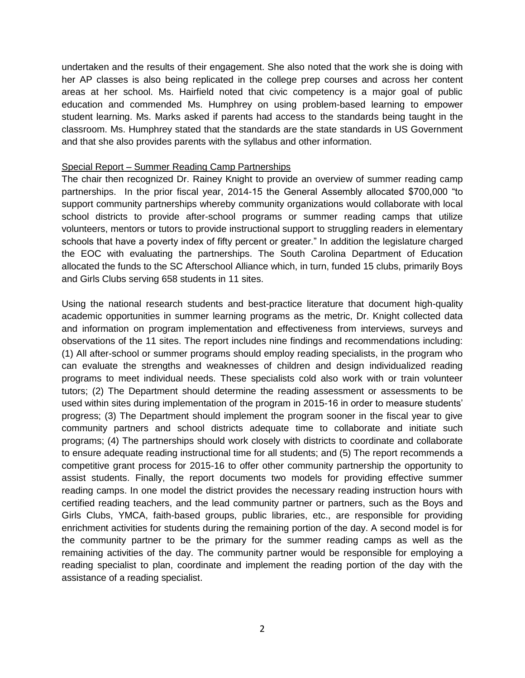undertaken and the results of their engagement. She also noted that the work she is doing with her AP classes is also being replicated in the college prep courses and across her content areas at her school. Ms. Hairfield noted that civic competency is a major goal of public education and commended Ms. Humphrey on using problem-based learning to empower student learning. Ms. Marks asked if parents had access to the standards being taught in the classroom. Ms. Humphrey stated that the standards are the state standards in US Government and that she also provides parents with the syllabus and other information.

## Special Report – Summer Reading Camp Partnerships

The chair then recognized Dr. Rainey Knight to provide an overview of summer reading camp partnerships. In the prior fiscal year, 2014-15 the General Assembly allocated \$700,000 "to support community partnerships whereby community organizations would collaborate with local school districts to provide after-school programs or summer reading camps that utilize volunteers, mentors or tutors to provide instructional support to struggling readers in elementary schools that have a poverty index of fifty percent or greater." In addition the legislature charged the EOC with evaluating the partnerships. The South Carolina Department of Education allocated the funds to the SC Afterschool Alliance which, in turn, funded 15 clubs, primarily Boys and Girls Clubs serving 658 students in 11 sites.

Using the national research students and best-practice literature that document high-quality academic opportunities in summer learning programs as the metric, Dr. Knight collected data and information on program implementation and effectiveness from interviews, surveys and observations of the 11 sites. The report includes nine findings and recommendations including: (1) All after-school or summer programs should employ reading specialists, in the program who can evaluate the strengths and weaknesses of children and design individualized reading programs to meet individual needs. These specialists cold also work with or train volunteer tutors; (2) The Department should determine the reading assessment or assessments to be used within sites during implementation of the program in 2015-16 in order to measure students' progress; (3) The Department should implement the program sooner in the fiscal year to give community partners and school districts adequate time to collaborate and initiate such programs; (4) The partnerships should work closely with districts to coordinate and collaborate to ensure adequate reading instructional time for all students; and (5) The report recommends a competitive grant process for 2015-16 to offer other community partnership the opportunity to assist students. Finally, the report documents two models for providing effective summer reading camps. In one model the district provides the necessary reading instruction hours with certified reading teachers, and the lead community partner or partners, such as the Boys and Girls Clubs, YMCA, faith-based groups, public libraries, etc., are responsible for providing enrichment activities for students during the remaining portion of the day. A second model is for the community partner to be the primary for the summer reading camps as well as the remaining activities of the day. The community partner would be responsible for employing a reading specialist to plan, coordinate and implement the reading portion of the day with the assistance of a reading specialist.